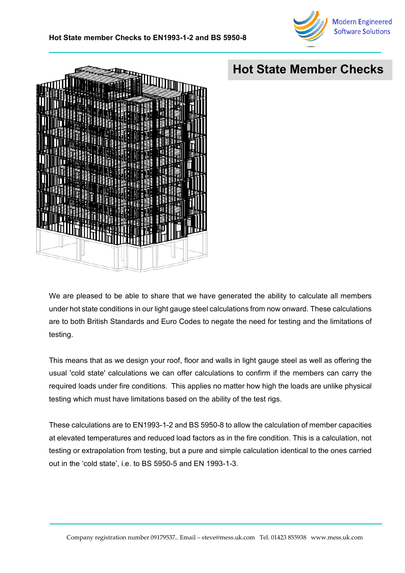



## **Hot State Member Checks**

We are pleased to be able to share that we have generated the ability to calculate all members under hot state conditions in our light gauge steel calculations from now onward. These calculations are to both British Standards and Euro Codes to negate the need for testing and the limitations of testing.

This means that as we design your roof, floor and walls in light gauge steel as well as offering the usual 'cold state' calculations we can offer calculations to confirm if the members can carry the required loads under fire conditions. This applies no matter how high the loads are unlike physical testing which must have limitations based on the ability of the test rigs.

These calculations are to EN1993-1-2 and BS 5950-8 to allow the calculation of member capacities at elevated temperatures and reduced load factors as in the fire condition. This is a calculation, not testing or extrapolation from testing, but a pure and simple calculation identical to the ones carried out in the 'cold state', i.e. to BS 5950-5 and EN 1993-1-3.